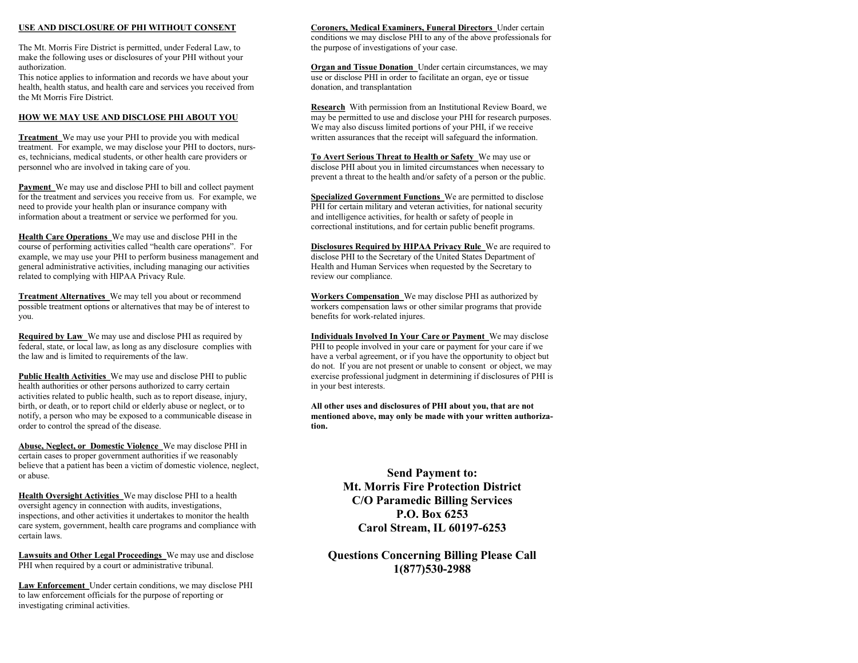#### **USE AND DISCLOSURE OF PHI WITHOUT CONSENT**

The Mt. Morris Fire District is permitted, under Federal Law, to make the following uses or disclosures of your PHI without your authorization.

This notice applies to information and records we have about your health, health status, and health care and services you received from the Mt Morris Fire District.

#### **HOW WE MAY USE AND DISCLOSE PHI ABOUT YOU**

**Treatment** We may use your PHI to provide you with medical treatment. For example, we may disclose your PHI to doctors, nurses, technicians, medical students, or other health care providers or personnel who are involved in taking care of you.

**Payment** We may use and disclose PHI to bill and collect payment for the treatment and services you receive from us. For example, we need to provide your health plan or insurance company with information about a treatment or service we performed for you.

**Health Care Operations** We may use and disclose PHI in the course of performing activities called "health care operations". For example, we may use your PHI to perform business management and general administrative activities, including managing our activities related to complying with HIPAA Privacy Rule.

**Treatment Alternatives** We may tell you about or recommend possible treatment options or alternatives that may be of interest to you.

**Required by Law** We may use and disclose PHI as required by federal, state, or local law, as long as any disclosure complies with the law and is limited to requirements of the law.

**Public Health Activities** We may use and disclose PHI to public health authorities or other persons authorized to carry certain activities related to public health, such as to report disease, injury, birth, or death, or to report child or elderly abuse or neglect, or to notify, a person who may be exposed to a communicable disease in order to control the spread of the disease.

**Abuse, Neglect, or Domestic Violence** We may disclose PHI in certain cases to proper government authorities if we reasonably believe that a patient has been a victim of domestic violence, neglect, or abuse.

**Health Oversight Activities** We may disclose PHI to a health oversight agency in connection with audits, investigations, inspections, and other activities it undertakes to monitor the health care system, government, health care programs and compliance with certain laws.

**Lawsuits and Other Legal Proceedings** We may use and disclose PHI when required by a court or administrative tribunal.

**Law Enforcement** Under certain conditions, we may disclose PHI to law enforcement officials for the purpose of reporting or investigating criminal activities.

#### **Coroners, Medical Examiners, Funeral Directors** Under certain

conditions we may disclose PHI to any of the above professionals for the purpose of investigations of your case.

**Organ and Tissue Donation** Under certain circumstances, we may use or disclose PHI in order to facilitate an organ, eye or tissue donation, and transplantation

**Research** With permission from an Institutional Review Board, we may be permitted to use and disclose your PHI for research purposes. We may also discuss limited portions of your PHI, if we receive written assurances that the receipt will safeguard the information.

**To Avert Serious Threat to Health or Safety** We may use or disclose PHI about you in limited circumstances when necessary to prevent a threat to the health and/or safety of a person or the public.

**Specialized Government Functions** We are permitted to disclose PHI for certain military and veteran activities, for national security and intelligence activities, for health or safety of people in correctional institutions, and for certain public benefit programs.

**Disclosures Required by HIPAA Privacy Rule** We are required to disclose PHI to the Secretary of the United States Department of Health and Human Services when requested by the Secretary to review our compliance.

**Workers Compensation** We may disclose PHI as authorized by workers compensation laws or other similar programs that provide benefits for work-related injures.

**Individuals Involved In Your Care or Payment** We may disclose PHI to people involved in your care or payment for your care if we have a verbal agreement, or if you have the opportunity to object but do not. If you are not present or unable to consent or object, we may exercise professional judgment in determining if disclosures of PHI is in your best interests.

**All other uses and disclosures of PHI about you, that are not mentioned above, may only be made with your written authorization.**

> **Send Payment to: Mt. Morris Fire Protection District C/O Paramedic Billing Services P.O. Box 6253 Carol Stream, IL 60197-6253**

**Questions Concerning Billing Please Call 1(877)530-2988**